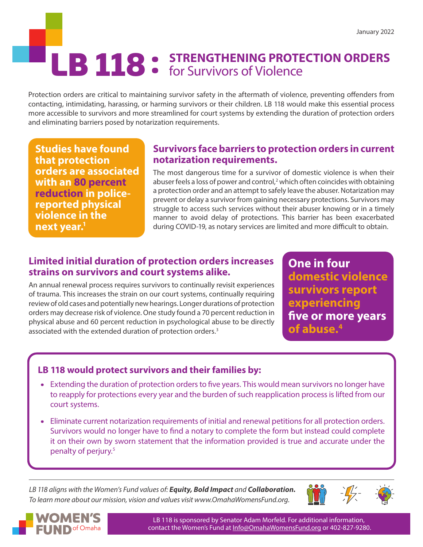# LB 118 : STRENGTHENING PROTECTION ORDERS<br> **LB 118** · for Survivors of Violence

Protection orders are critical to maintaining survivor safety in the aftermath of violence, preventing offenders from contacting, intimidating, harassing, or harming survivors or their children. LB 118 would make this essential process more accessible to survivors and more streamlined for court systems by extending the duration of protection orders and eliminating barriers posed by notarization requirements.

**Studies have found that protection orders are associated with an 80 percent reduction in policereported physical violence in the next year.1**

## **Survivors face barriers to protection orders in current notarization requirements.**

The most dangerous time for a survivor of domestic violence is when their abuser feels a loss of power and control,<sup>2</sup> which often coincides with obtaining a protection order and an attempt to safely leave the abuser. Notarization may prevent or delay a survivor from gaining necessary protections. Survivors may struggle to access such services without their abuser knowing or in a timely manner to avoid delay of protections. This barrier has been exacerbated during COVID-19, as notary services are limited and more difficult to obtain.

# **Limited initial duration of protection orders increases strains on survivors and court systems alike.**

An annual renewal process requires survivors to continually revisit experiences of trauma. This increases the strain on our court systems, continually requiring review of old cases and potentially new hearings. Longer durations of protection orders may decrease risk of violence. One study found a 70 percent reduction in physical abuse and 60 percent reduction in psychological abuse to be directly associated with the extended duration of protection orders.<sup>3</sup>

**One in four domestic violence survivors report experiencing five or more years of abuse.4**

# **LB 118 would protect survivors and their families by:**

- Extending the duration of protection orders to five years. This would mean survivors no longer have to reapply for protections every year and the burden of such reapplication process is lifted from our court systems.
- Eliminate current notarization requirements of initial and renewal petitions for all protection orders. Survivors would no longer have to find a notary to complete the form but instead could complete it on their own by sworn statement that the information provided is true and accurate under the penalty of perjury.<sup>5</sup>

*LB 118 aligns with the Women's Fund values of: Equity, Bold Impact and Collaboration. To learn more about our mission, vision and values visit www.OmahaWomensFund.org.*





LB 118 is sponsored by Senator Adam Morfeld. For additional information, contact the Women's Fund at [Info@OmahaWomensFund.org](mailto:Info%40OmahaWomensFund.org?subject=) or 402-827-9280.